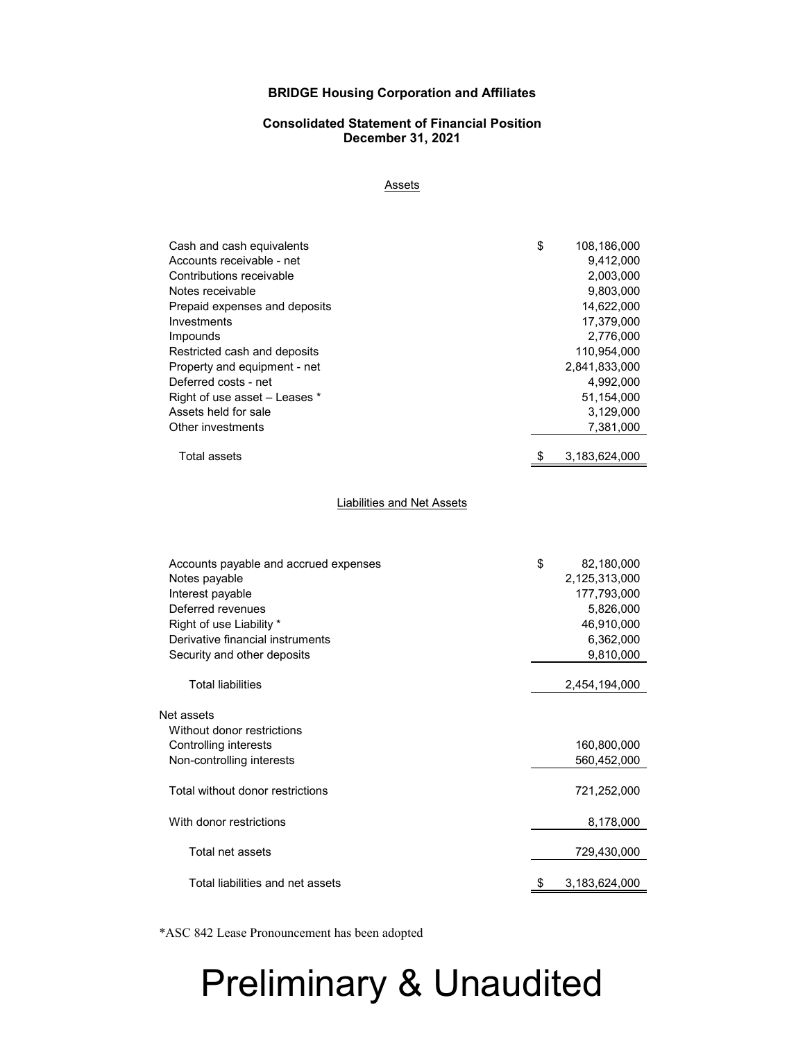#### **BRIDGE Housing Corporation and Affiliates**

#### **Consolidated Statement of Financial Position December 31, 2021**

**Assets** 

| Cash and cash equivalents     | \$<br>108,186,000   |
|-------------------------------|---------------------|
| Accounts receivable - net     | 9,412,000           |
| Contributions receivable      | 2,003,000           |
| Notes receivable              | 9,803,000           |
| Prepaid expenses and deposits | 14,622,000          |
| Investments                   | 17,379,000          |
| Impounds                      | 2,776,000           |
| Restricted cash and deposits  | 110,954,000         |
| Property and equipment - net  | 2,841,833,000       |
| Deferred costs - net          | 4,992,000           |
| Right of use asset - Leases * | 51,154,000          |
| Assets held for sale          | 3,129,000           |
| Other investments             | 7,381,000           |
| <b>Total assets</b>           | \$<br>3,183,624,000 |

Liabilities and Net Assets

| Accounts payable and accrued expenses | \$<br>82,180,000 |
|---------------------------------------|------------------|
| Notes payable                         | 2,125,313,000    |
| Interest payable                      | 177,793,000      |
| Deferred revenues                     | 5,826,000        |
| Right of use Liability *              | 46,910,000       |
| Derivative financial instruments      | 6,362,000        |
| Security and other deposits           | 9,810,000        |
| <b>Total liabilities</b>              | 2,454,194,000    |
|                                       |                  |
| Net assets                            |                  |
| Without donor restrictions            |                  |
| Controlling interests                 | 160,800,000      |
| Non-controlling interests             | 560,452,000      |
| Total without donor restrictions      | 721,252,000      |
| With donor restrictions               | 8,178,000        |
| Total net assets                      | 729,430,000      |
| Total liabilities and net assets      | 3,183,624,000    |

\*ASC 842 Lease Pronouncement has been adopted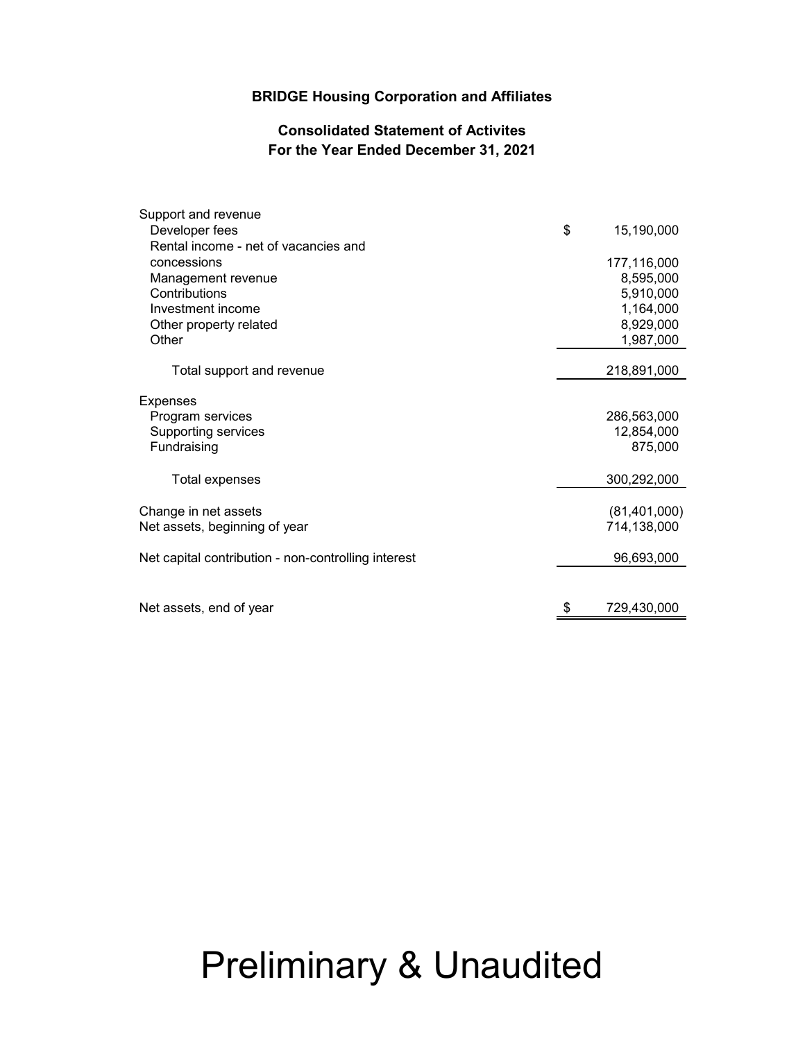#### **BRIDGE Housing Corporation and Affiliates**

#### **Consolidated Statement of Activites For the Year Ended December 31, 2021**

| Support and revenue                                 |                       |
|-----------------------------------------------------|-----------------------|
| Developer fees                                      | \$<br>15,190,000      |
| Rental income - net of vacancies and                |                       |
| concessions                                         | 177,116,000           |
| Management revenue                                  | 8,595,000             |
| Contributions                                       | 5,910,000             |
| Investment income                                   | 1,164,000             |
| Other property related                              | 8,929,000             |
| Other                                               | 1,987,000             |
| Total support and revenue                           | 218,891,000           |
|                                                     |                       |
| <b>Expenses</b>                                     |                       |
| Program services                                    | 286,563,000           |
| Supporting services<br>Fundraising                  | 12,854,000<br>875,000 |
|                                                     |                       |
| Total expenses                                      | 300,292,000           |
|                                                     |                       |
| Change in net assets                                | (81, 401, 000)        |
| Net assets, beginning of year                       | 714,138,000           |
| Net capital contribution - non-controlling interest | 96,693,000            |
|                                                     |                       |
| Net assets, end of year                             | \$<br>729,430,000     |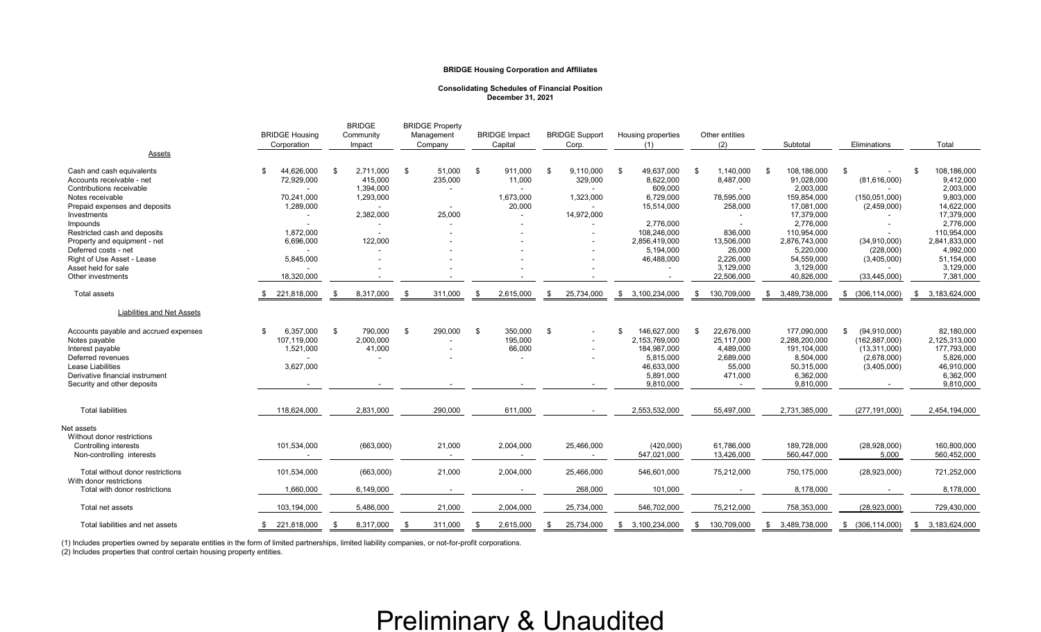| <b>Assets</b>                                                                                  | <b>BRIDGE Housing</b><br>Corporation  | <b>BRIDGE</b><br>Community<br>Impact     | <b>BRIDGE Property</b><br>Management<br>Company | <b>BRIDGE Impact</b><br>Capital                 | <b>BRIDGE Support</b><br>Corp. | Housing properties                          | Other entities<br>(2)                         | Subtotal                                     | Eliminations                                        | Total                                       |
|------------------------------------------------------------------------------------------------|---------------------------------------|------------------------------------------|-------------------------------------------------|-------------------------------------------------|--------------------------------|---------------------------------------------|-----------------------------------------------|----------------------------------------------|-----------------------------------------------------|---------------------------------------------|
| Cash and cash equivalents<br>Accounts receivable - net<br>Contributions receivable             | 44,626,000<br>72,929,000              | 2,711,000<br>-\$<br>415,000<br>1,394,000 | 51,000<br>\$<br>235,000                         | 911,000<br>\$<br>11,000                         | 9,110,000<br>- \$<br>329,000   | 49,637,000<br>\$<br>8,622,000<br>609,000    | 1,140,000<br>- \$<br>8,487,000                | 108,186,000<br>\$<br>91,028,000<br>2,003,000 | \$<br>(81,616,000)                                  | 108,186,000<br>\$<br>9,412,000<br>2,003,000 |
| Notes receivable<br>Prepaid expenses and deposits<br>Investments                               | 70,241,000<br>1,289,000               | 1,293,000<br>2,382,000                   | 25,000                                          | 1,673,000<br>20,000<br>$\overline{\phantom{a}}$ | 1,323,000<br>14,972,000        | 6,729,000<br>15,514,000                     | 78,595,000<br>258,000                         | 159,854,000<br>17,081,000<br>17,379,000      | (150, 051, 000)<br>(2,459,000)                      | 9,803,000<br>14,622,000<br>17,379,000       |
| Impounds<br>Restricted cash and deposits<br>Property and equipment - net                       | 1,872,000<br>6,696,000                | 122,000                                  |                                                 |                                                 |                                | 2,776,000<br>108,246,000<br>2,856,419,000   | 836,000<br>13,506,000                         | 2,776,000<br>110,954,000<br>2,876,743,000    | (34, 910, 000)                                      | 2,776,000<br>110,954,000<br>2,841,833,000   |
| Deferred costs - net<br>Right of Use Asset - Lease<br>Asset held for sale                      | 5,845,000                             |                                          |                                                 |                                                 |                                | 5,194,000<br>46,488,000                     | 26,000<br>2,226,000<br>3,129,000              | 5,220,000<br>54,559,000<br>3,129,000         | (228,000)<br>(3,405,000)                            | 4,992,000<br>51,154,000<br>3,129,000        |
| Other investments<br><b>Total assets</b>                                                       | 18,320,000<br>221,818,000             | 8,317,000<br>- \$                        | 311,000<br>- \$                                 | 2,615,000<br>- \$                               | 25,734,000<br>-86              | 3,100,234,000<br>\$                         | 22,506,000<br>130,709,000<br>- \$             | 40,826,000<br>3,489,738,000<br>S.            | (33, 445, 000)<br>(306, 114, 000)<br>S.             | 7,381,000<br>3,183,624,000<br>S.            |
| Liabilities and Net Assets                                                                     |                                       |                                          |                                                 |                                                 |                                |                                             |                                               |                                              |                                                     |                                             |
| Accounts payable and accrued expenses<br>Notes payable<br>Interest payable                     | 6,357,000<br>107,119,000<br>1,521,000 | \$<br>790,000<br>2,000,000<br>41,000     | 290,000<br>- \$                                 | - \$<br>350,000<br>195,000<br>66,000            | - \$<br>$\sim$                 | 146,627,000<br>2,153,769,000<br>184,987,000 | 22,676,000<br>- \$<br>25,117,000<br>4,489,000 | 177,090,000<br>2,288,200,000<br>191,104,000  | (94, 910, 000)<br>(162, 887, 000)<br>(13, 311, 000) | 82,180,000<br>2,125,313,000<br>177,793,000  |
| Deferred revenues<br>Lease Liabilities<br>Derivative financial instrument                      | 3,627,000                             |                                          |                                                 | ۰                                               |                                | 5,815,000<br>46,633,000<br>5,891,000        | 2,689,000<br>55,000<br>471,000                | 8,504,000<br>50,315,000<br>6,362,000         | (2,678,000)<br>(3,405,000)                          | 5,826,000<br>46,910,000<br>6,362,000        |
| Security and other deposits                                                                    |                                       |                                          |                                                 |                                                 |                                | 9,810,000                                   |                                               | 9,810,000                                    |                                                     | 9,810,000                                   |
| <b>Total liabilities</b>                                                                       | 118,624,000                           | 2,831,000                                | 290,000                                         | 611,000                                         |                                | 2,553,532,000                               | 55,497,000                                    | 2,731,385,000                                | (277, 191, 000)                                     | 2,454,194,000                               |
| Net assets<br>Without donor restrictions<br>Controlling interests<br>Non-controlling interests | 101,534,000                           | (663,000)                                | 21,000                                          | 2,004,000                                       | 25,466,000                     | (420,000)<br>547,021,000                    | 61,786,000<br>13,426,000                      | 189,728,000<br>560,447,000                   | (28,928,000)<br>5,000                               | 160,800,000<br>560,452,000                  |
| Total without donor restrictions<br>With donor restrictions                                    | 101,534,000                           | (663,000)                                | 21,000                                          | 2,004,000                                       | 25,466,000                     | 546,601,000                                 | 75,212,000                                    | 750,175,000                                  | (28, 923, 000)                                      | 721,252,000                                 |
| Total with donor restrictions<br>Total net assets                                              | 1,660,000                             | 6,149,000<br>5,486,000                   |                                                 | $\blacksquare$                                  | 268,000                        | 101,000                                     |                                               | 8,178,000                                    |                                                     | 8,178,000                                   |
| Total liabilities and net assets                                                               | 103,194,000<br>\$221,818,000          | 8,317,000                                | 21,000<br>311,000<br>- \$                       | 2,004,000<br>2,615,000<br>- \$                  | 25,734,000<br>25,734,000<br>S, | 546,702,000<br>\$3,100,234,000              | 75,212,000<br>130,709,000<br>- SS             | 758,353,000<br>\$ 3,489,738,000              | (28, 923, 000)<br>$$^{(306, 114, 000)}$$            | 729,430,000<br>3,183,624,000<br>- SS        |

(1) Includes properties owned by separate entities in the form of limited partnerships, limited liability companies, or not-for-profit corporations.

(2) Includes properties that control certain housing property entities.

#### **BRIDGE Housing Corporation and Affiliates**

#### **Consolidating Schedules of Financial Position December 31, 2021**